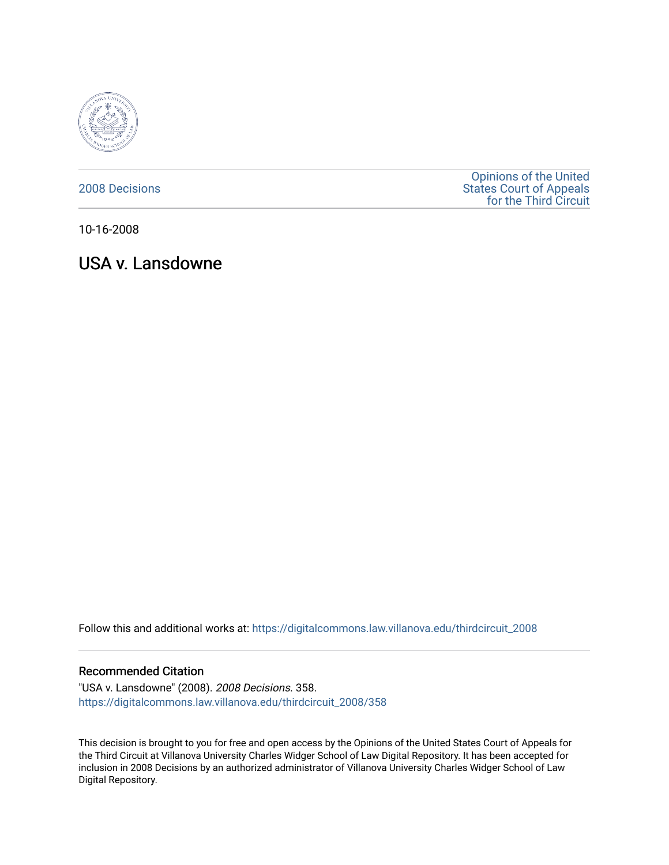

[2008 Decisions](https://digitalcommons.law.villanova.edu/thirdcircuit_2008)

[Opinions of the United](https://digitalcommons.law.villanova.edu/thirdcircuit)  [States Court of Appeals](https://digitalcommons.law.villanova.edu/thirdcircuit)  [for the Third Circuit](https://digitalcommons.law.villanova.edu/thirdcircuit) 

10-16-2008

USA v. Lansdowne

Follow this and additional works at: [https://digitalcommons.law.villanova.edu/thirdcircuit\\_2008](https://digitalcommons.law.villanova.edu/thirdcircuit_2008?utm_source=digitalcommons.law.villanova.edu%2Fthirdcircuit_2008%2F358&utm_medium=PDF&utm_campaign=PDFCoverPages) 

## Recommended Citation

"USA v. Lansdowne" (2008). 2008 Decisions. 358. [https://digitalcommons.law.villanova.edu/thirdcircuit\\_2008/358](https://digitalcommons.law.villanova.edu/thirdcircuit_2008/358?utm_source=digitalcommons.law.villanova.edu%2Fthirdcircuit_2008%2F358&utm_medium=PDF&utm_campaign=PDFCoverPages)

This decision is brought to you for free and open access by the Opinions of the United States Court of Appeals for the Third Circuit at Villanova University Charles Widger School of Law Digital Repository. It has been accepted for inclusion in 2008 Decisions by an authorized administrator of Villanova University Charles Widger School of Law Digital Repository.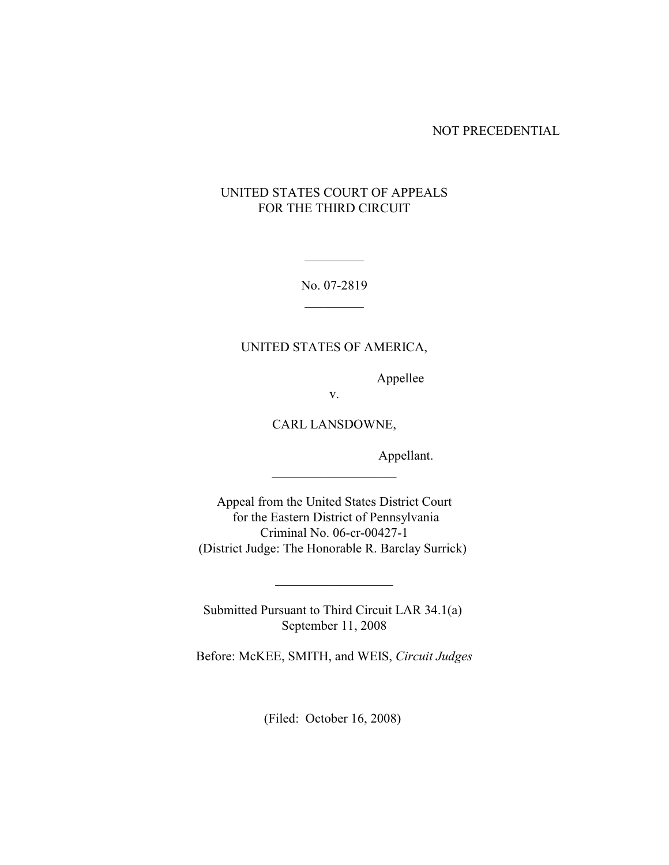NOT PRECEDENTIAL

# UNITED STATES COURT OF APPEALS FOR THE THIRD CIRCUIT

No. 07-2819  $\mathcal{L}$ 

 $\mathcal{L}$ 

## UNITED STATES OF AMERICA,

Appellee

v.

CARL LANSDOWNE,

\_\_\_\_\_\_\_\_\_\_\_\_\_\_\_\_\_\_\_

Appellant.

Appeal from the United States District Court for the Eastern District of Pennsylvania Criminal No. 06-cr-00427-1 (District Judge: The Honorable R. Barclay Surrick)

Submitted Pursuant to Third Circuit LAR 34.1(a) September 11, 2008

 $\overline{\phantom{a}}$  , which is a set of the set of the set of the set of the set of the set of the set of the set of the set of the set of the set of the set of the set of the set of the set of the set of the set of the set of th

Before: McKEE, SMITH, and WEIS, *Circuit Judges*

(Filed: October 16, 2008)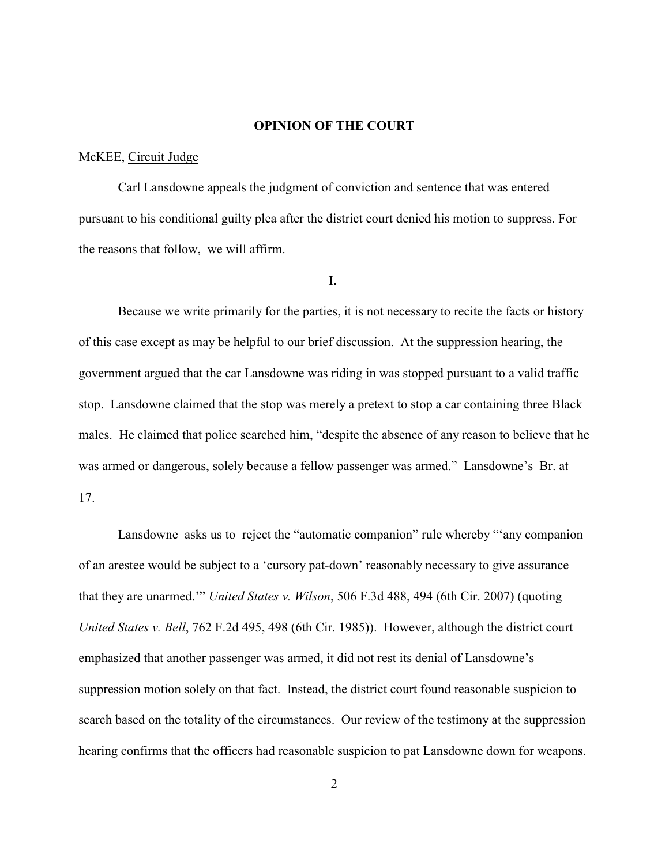### **OPINION OF THE COURT**

#### McKEE, Circuit Judge

Carl Lansdowne appeals the judgment of conviction and sentence that was entered pursuant to his conditional guilty plea after the district court denied his motion to suppress. For the reasons that follow, we will affirm.

#### **I.**

Because we write primarily for the parties, it is not necessary to recite the facts or history of this case except as may be helpful to our brief discussion. At the suppression hearing, the government argued that the car Lansdowne was riding in was stopped pursuant to a valid traffic stop. Lansdowne claimed that the stop was merely a pretext to stop a car containing three Black males. He claimed that police searched him, "despite the absence of any reason to believe that he was armed or dangerous, solely because a fellow passenger was armed." Lansdowne'sBr. at 17.

Lansdowne asks us to reject the "automatic companion" rule whereby "'any companion of an arestee would be subject to a 'cursory pat-down' reasonably necessary to give assurance that they are unarmed.'" *United States v. Wilson*, 506 F.3d 488, 494 (6th Cir. 2007) (quoting *United States v. Bell*, 762 F.2d 495, 498 (6th Cir. 1985)). However, although the district court emphasized that another passenger was armed, it did not rest its denial of Lansdowne's suppression motion solely on that fact. Instead, the district court found reasonable suspicion to search based on the totality of the circumstances. Our review of the testimony at the suppression hearing confirms that the officers had reasonable suspicion to pat Lansdowne down for weapons.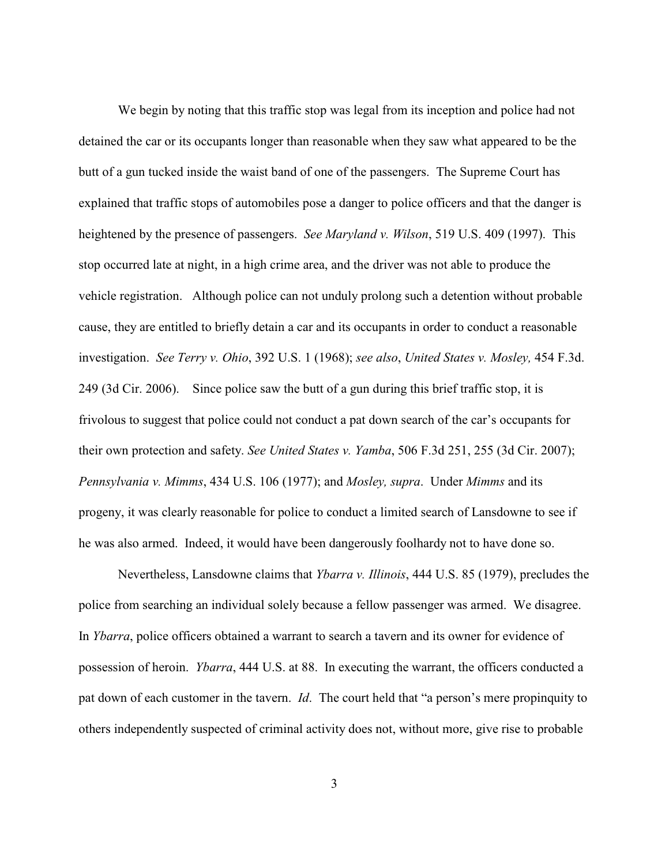We begin by noting that this traffic stop was legal from its inception and police had not detained the car or its occupants longer than reasonable when they saw what appeared to be the butt of a gun tucked inside the waist band of one of the passengers. The Supreme Court has explained that traffic stops of automobiles pose a danger to police officers and that the danger is heightened by the presence of passengers. *See Maryland v. Wilson*, 519 U.S. 409 (1997). This stop occurred late at night, in a high crime area, and the driver was not able to produce the vehicle registration. Although police can not unduly prolong such a detention without probable cause, they are entitled to briefly detain a car and its occupants in order to conduct a reasonable investigation. *See Terry v. Ohio*, 392 U.S. 1 (1968); *see also*, *United States v. Mosley,* 454 F.3d. 249 (3d Cir. 2006). Since police saw the butt of a gun during this brief traffic stop, it is frivolous to suggest that police could not conduct a pat down search of the car's occupants for their own protection and safety. *See United States v. Yamba*, 506 F.3d 251, 255 (3d Cir. 2007); *Pennsylvania v. Mimms*, 434 U.S. 106 (1977); and *Mosley, supra*. Under *Mimms* and its progeny, it was clearly reasonable for police to conduct a limited search of Lansdowne to see if he was also armed. Indeed, it would have been dangerously foolhardy not to have done so.

Nevertheless, Lansdowne claims that *Ybarra v. Illinois*, 444 U.S. 85 (1979), precludes the police from searching an individual solely because a fellow passenger was armed. We disagree. In *Ybarra*, police officers obtained a warrant to search a tavern and its owner for evidence of possession of heroin. *Ybarra*, 444 U.S. at 88. In executing the warrant, the officers conducted a pat down of each customer in the tavern. *Id*. The court held that "a person's mere propinquity to others independently suspected of criminal activity does not, without more, give rise to probable